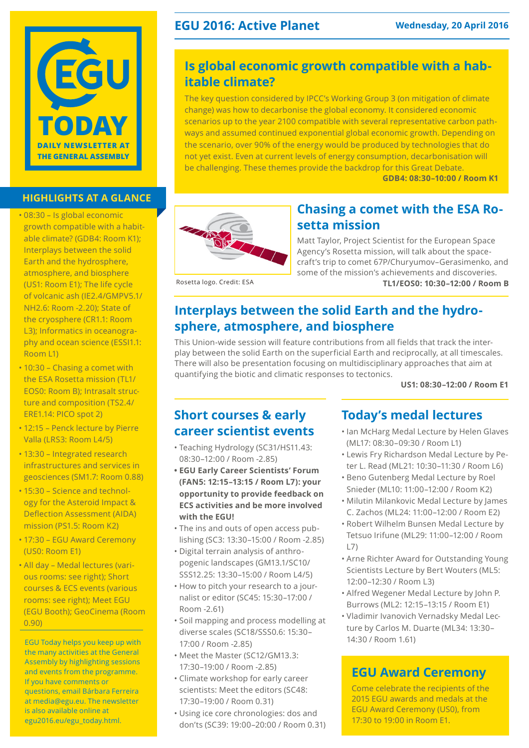

### **highlights at a glance**

- • 08:30 Is global economic growth compatible with a habitable climate? (GDB4: Room K1); Interplays between the solid Earth and the hydrosphere, atmosphere, and biosphere (US1: Room E1); The life cycle of volcanic ash (IE2.4/GMPV5.1/ NH2.6: Room -2.20); State of the cryosphere (CR1.1: Room L3); Informatics in oceanography and ocean science (ESSI1.1: Room L1)
- 10:30 Chasing a comet with the ESA Rosetta mission (TL1/ EOS0: Room B); Intrasalt structure and composition (TS2.4/ ERE1.14: PICO spot 2)
- • 12:15 Penck lecture by Pierre Valla (LRS3: Room L4/5)
- 13:30 Integrated research infrastructures and services in geosciences (SM1.7: Room 0.88)
- 15:30 Science and technology for the Asteroid Impact & Deflection Assessment (AIDA) mission (PS1.5: Room K2)
- 17:30 EGU Award Ceremony (US0: Room E1)
- • All day Medal lectures (various rooms: see right); Short courses & ECS events (various rooms: see right); Meet EGU (EGU Booth); GeoCinema (Room 0.90)

EGU Today helps you keep up with the many activities at the General Assembly by highlighting sessions and events from the programme. If you have comments or questions, email Bárbara Ferreira at media@egu.eu. The newsletter is also available online at [egu2016.eu/egu\\_today.html.](http://egu2016.eu/egu_today.html)

### **EGU 2016: Active Planet Wednesday, 20 April 2016**

### **Is global economic growth compatible with a habitable climate?**

The key question considered by IPCC's Working Group 3 (on mitigation of climate change) was how to decarbonise the global economy. It considered economic scenarios up to the year 2100 compatible with several representative carbon pathways and assumed continued exponential global economic growth. Depending on the scenario, over 90% of the energy would be produced by technologies that do not yet exist. Even at current levels of energy consumption, decarbonisation will be challenging. These themes provide the backdrop for this Great Debate.

**GDB4: 08:30–10:00 / Room K1**



### **Chasing a comet with the ESA Rosetta mission**

Matt Taylor, Project Scientist for the European Space Agency's Rosetta mission, will talk about the spacecraft's trip to comet 67P/Churyumov–Gerasimenko, and some of the mission's achievements and discoveries. **TL1/EOS0: 10:30–12:00 / Room B**

Rosetta logo. Credit: ESA

### **Interplays between the solid Earth and the hydrosphere, atmosphere, and biosphere**

This Union-wide session will feature contributions from all fields that track the interplay between the solid Earth on the superficial Earth and reciprocally, at all timescales. There will also be presentation focusing on multidisciplinary approaches that aim at quantifying the biotic and climatic responses to tectonics.

**US1: 08:30–12:00 / Room E1**

### **Short courses & early career scientist events**

- • Teaching Hydrology (SC31/HS11.43: 08:30–12:00 / Room -2.85)
- **• EGU Early Career Scientists' Forum (FAN5: 12:15–13:15 / Room L7): your opportunity to provide feedback on ECS activities and be more involved with the EGU!**
- The ins and outs of open access publishing (SC3: 13:30–15:00 / Room -2.85)
- • Digital terrain analysis of anthropogenic landscapes (GM13.1/SC10/ SSS12.25: 13:30–15:00 / Room L4/5)
- How to pitch your research to a journalist or editor (SC45: 15:30–17:00 / Room -2.61)
- • Soil mapping and process modelling at diverse scales (SC18/SSS0.6: 15:30– 17:00 / Room -2.85)
- Meet the Master (SC12/GM13.3: 17:30–19:00 / Room -2.85)
- • Climate workshop for early career scientists: Meet the editors (SC48: 17:30–19:00 / Room 0.31)
- • Using ice core chronologies: dos and don'ts (SC39: 19:00–20:00 / Room 0.31)

### **Today's medal lectures**

- • Ian McHarg Medal Lecture by Helen Glaves (ML17: 08:30–09:30 / Room L1)
- • Lewis Fry Richardson Medal Lecture by Peter L. Read (ML21: 10:30–11:30 / Room L6)
- • Beno Gutenberg Medal Lecture by Roel Snieder (ML10: 11:00–12:00 / Room K2)
- • Milutin Milankovic Medal Lecture by James C. Zachos (ML24: 11:00–12:00 / Room E2)
- • Robert Wilhelm Bunsen Medal Lecture by Tetsuo Irifune (ML29: 11:00–12:00 / Room L7)
- • Arne Richter Award for Outstanding Young Scientists Lecture by Bert Wouters (ML5: 12:00–12:30 / Room L3)
- • Alfred Wegener Medal Lecture by John P. Burrows (ML2: 12:15–13:15 / Room E1)
- • Vladimir Ivanovich Vernadsky Medal Lecture by Carlos M. Duarte (ML34: 13:30– 14:30 / Room 1.61)

### **EGU Award Ceremony**

Come celebrate the recipients of the 2015 EGU awards and medals at the EGU Award Ceremony (US0), from 17:30 to 19:00 in Room E1.